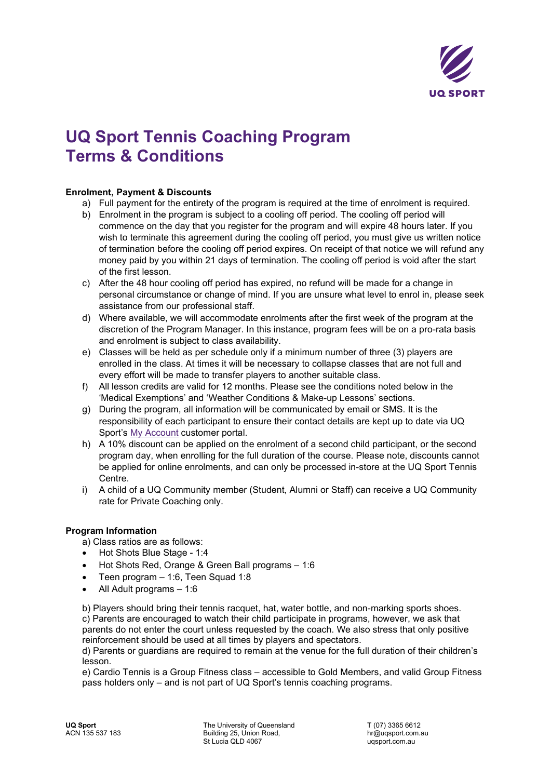

# **UQ Sport Tennis Coaching Program Terms & Conditions**

## **Enrolment, Payment & Discounts**

- a) Full payment for the entirety of the program is required at the time of enrolment is required.
- b) Enrolment in the program is subject to a cooling off period. The cooling off period will commence on the day that you register for the program and will expire 48 hours later. If you wish to terminate this agreement during the cooling off period, you must give us written notice of termination before the cooling off period expires. On receipt of that notice we will refund any money paid by you within 21 days of termination. The cooling off period is void after the start of the first lesson.
- c) After the 48 hour cooling off period has expired, no refund will be made for a change in personal circumstance or change of mind. If you are unsure what level to enrol in, please seek assistance from our professional staff.
- d) Where available, we will accommodate enrolments after the first week of the program at the discretion of the Program Manager. In this instance, program fees will be on a pro-rata basis and enrolment is subject to class availability.
- e) Classes will be held as per schedule only if a minimum number of three (3) players are enrolled in the class. At times it will be necessary to collapse classes that are not full and every effort will be made to transfer players to another suitable class.
- f) All lesson credits are valid for 12 months. Please see the conditions noted below in the 'Medical Exemptions' and 'Weather Conditions & Make-up Lessons' sections.
- g) During the program, all information will be communicated by email or SMS. It is the responsibility of each participant to ensure their contact details are kept up to date via UQ Sport's [My Account](https://teams.uqsport.com.au/Account/Login?ReturnUrl=%2FDashboard) customer portal.
- h) A 10% discount can be applied on the enrolment of a second child participant, or the second program day, when enrolling for the full duration of the course. Please note, discounts cannot be applied for online enrolments, and can only be processed in-store at the UQ Sport Tennis Centre.
- i) A child of a UQ Community member (Student, Alumni or Staff) can receive a UQ Community rate for Private Coaching only.

## **Program Information**

a) Class ratios are as follows:

- Hot Shots Blue Stage 1:4
- Hot Shots Red, Orange & Green Ball programs 1:6
- Teen program 1:6, Teen Squad 1:8
- All Adult programs 1:6

b) Players should bring their tennis racquet, hat, water bottle, and non-marking sports shoes. c) Parents are encouraged to watch their child participate in programs, however, we ask that parents do not enter the court unless requested by the coach. We also stress that only positive reinforcement should be used at all times by players and spectators.

d) Parents or guardians are required to remain at the venue for the full duration of their children's lesson.

e) Cardio Tennis is a Group Fitness class – accessible to Gold Members, and valid Group Fitness pass holders only – and is not part of UQ Sport's tennis coaching programs.